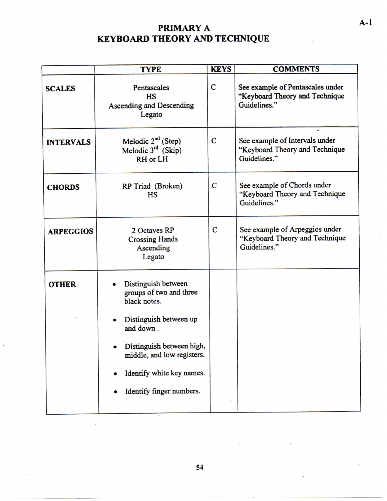## **PRIMARY A KEYBOARD THEORY AND TECHNIQUE**

|                  | <b>TYPE</b>                                                                                                                                                                                                               | <b>KEYS</b>  | <b>COMMENTS</b>                                                                    |  |
|------------------|---------------------------------------------------------------------------------------------------------------------------------------------------------------------------------------------------------------------------|--------------|------------------------------------------------------------------------------------|--|
| <b>SCALES</b>    | Pentascales<br><b>HS</b><br>Ascending and Descending<br>Legato                                                                                                                                                            | C            | See example of Pentascales under<br>"Keyboard Theory and Technique<br>Guidelines." |  |
| <b>INTERVALS</b> | Melodic $2^{nd}$ (Step)<br>Melodic 3rd (Skip)<br>RH or LH                                                                                                                                                                 | $\mathbf C$  | See example of Intervals under<br>"Keyboard Theory and Technique<br>Guidelines."   |  |
| <b>CHORDS</b>    | RP Triad (Broken)<br><b>HS</b>                                                                                                                                                                                            | $\mathsf{C}$ | See example of Chords under<br>"Keyboard Theory and Technique<br>Guidelines."      |  |
| <b>ARPEGGIOS</b> | 2 Octaves RP<br><b>Crossing Hands</b><br>Ascending<br>Legato                                                                                                                                                              | $\mathbf C$  | See example of Arpeggios under<br>"Keyboard Theory and Technique<br>Guidelines."   |  |
| <b>OTHER</b>     | Distinguish between<br>groups of two and three<br>black notes.<br>Distinguish between up<br>and down.<br>Distinguish between high,<br>middle, and low registers.<br>Identify white key names.<br>Identify finger numbers. |              |                                                                                    |  |

**A-1**